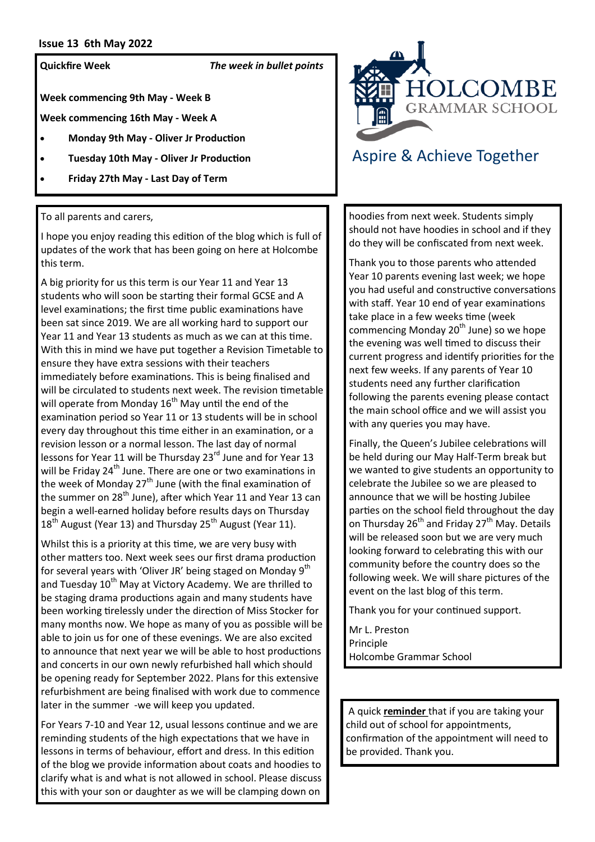#### **Issue 13 6th May 2022**

**Quickfire Week** *The week in bullet points*

**Week commencing 9th May - Week B** 

**Week commencing 16th May - Week A**

- **Monday 9th May - Oliver Jr Production**
- **Tuesday 10th May - Oliver Jr Production**
- **Friday 27th May - Last Day of Term**

To all parents and carers,

I hope you enjoy reading this edition of the blog which is full of updates of the work that has been going on here at Holcombe this term.

A big priority for us this term is our Year 11 and Year 13 students who will soon be starting their formal GCSE and A level examinations; the first time public examinations have been sat since 2019. We are all working hard to support our Year 11 and Year 13 students as much as we can at this time. With this in mind we have put together a Revision Timetable to ensure they have extra sessions with their teachers immediately before examinations. This is being finalised and will be circulated to students next week. The revision timetable will operate from Monday  $16<sup>th</sup>$  May until the end of the examination period so Year 11 or 13 students will be in school every day throughout this time either in an examination, or a revision lesson or a normal lesson. The last day of normal lessons for Year 11 will be Thursday 23<sup>rd</sup> June and for Year 13 will be Friday 24<sup>th</sup> June. There are one or two examinations in the week of Monday  $27<sup>th</sup>$  June (with the final examination of the summer on 28<sup>th</sup> June), after which Year 11 and Year 13 can begin a well-earned holiday before results days on Thursday 18<sup>th</sup> August (Year 13) and Thursday 25<sup>th</sup> August (Year 11).

Whilst this is a priority at this time, we are very busy with other matters too. Next week sees our first drama production for several years with 'Oliver JR' being staged on Monday 9<sup>th</sup> and Tuesday 10<sup>th</sup> May at Victory Academy. We are thrilled to be staging drama productions again and many students have been working tirelessly under the direction of Miss Stocker for many months now. We hope as many of you as possible will be able to join us for one of these evenings. We are also excited to announce that next year we will be able to host productions and concerts in our own newly refurbished hall which should be opening ready for September 2022. Plans for this extensive refurbishment are being finalised with work due to commence later in the summer -we will keep you updated.

For Years 7-10 and Year 12, usual lessons continue and we are reminding students of the high expectations that we have in lessons in terms of behaviour, effort and dress. In this edition of the blog we provide information about coats and hoodies to clarify what is and what is not allowed in school. Please discuss this with your son or daughter as we will be clamping down on



# Aspire & Achieve Together

hoodies from next week. Students simply should not have hoodies in school and if they do they will be confiscated from next week.

Thank you to those parents who attended Year 10 parents evening last week; we hope you had useful and constructive conversations with staff. Year 10 end of year examinations take place in a few weeks time (week commencing Monday 20<sup>th</sup> June) so we hope the evening was well timed to discuss their current progress and identify priorities for the next few weeks. If any parents of Year 10 students need any further clarification following the parents evening please contact the main school office and we will assist you with any queries you may have.

Finally, the Queen's Jubilee celebrations will be held during our May Half-Term break but we wanted to give students an opportunity to celebrate the Jubilee so we are pleased to announce that we will be hosting Jubilee parties on the school field throughout the day on Thursday 26<sup>th</sup> and Friday 27<sup>th</sup> May. Details will be released soon but we are very much looking forward to celebrating this with our community before the country does so the following week. We will share pictures of the event on the last blog of this term.

Thank you for your continued support.

Mr L. Preston Principle Holcombe Grammar School

A quick **reminder** that if you are taking your child out of school for appointments, confirmation of the appointment will need to be provided. Thank you.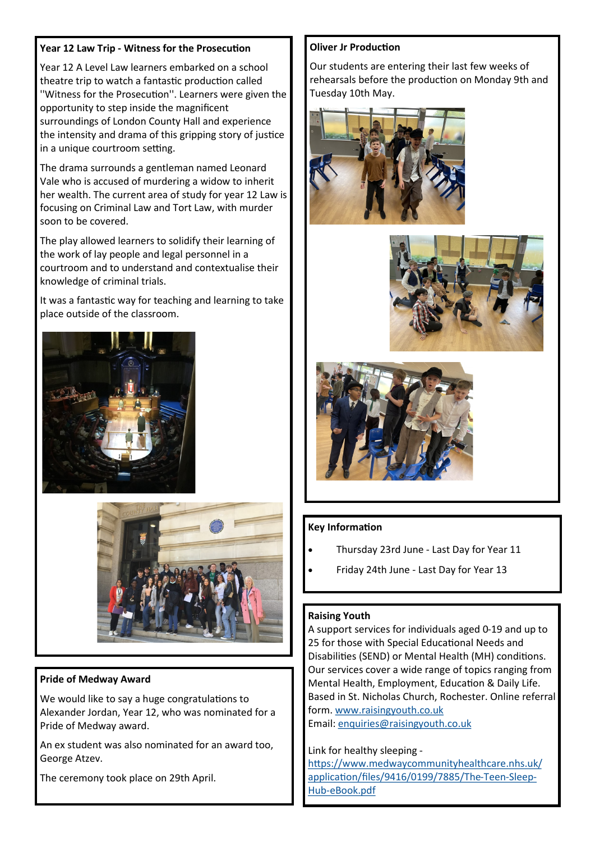## **Year 12 Law Trip - Witness for the Prosecution**

Year 12 A Level Law learners embarked on a school theatre trip to watch a fantastic production called ''Witness for the Prosecution''. Learners were given the opportunity to step inside the magnificent surroundings of London County Hall and experience the intensity and drama of this gripping story of justice in a unique courtroom setting.

The drama surrounds a gentleman named Leonard Vale who is accused of murdering a widow to inherit her wealth. The current area of study for year 12 Law is focusing on Criminal Law and Tort Law, with murder soon to be covered.

The play allowed learners to solidify their learning of the work of lay people and legal personnel in a courtroom and to understand and contextualise their knowledge of criminal trials.

It was a fantastic way for teaching and learning to take place outside of the classroom.





## **Pride of Medway Award**

We would like to say a huge congratulations to Alexander Jordan, Year 12, who was nominated for a Pride of Medway award.

An ex student was also nominated for an award too, George Atzev.

The ceremony took place on 29th April.

## **Oliver Jr Production**

Our students are entering their last few weeks of rehearsals before the production on Monday 9th and Tuesday 10th May.







## **Key Information**

- Thursday 23rd June Last Day for Year 11
- Friday 24th June Last Day for Year 13

## **Raising Youth**

A support services for individuals aged 0-19 and up to 25 for those with Special Educational Needs and Disabilities (SEND) or Mental Health (MH) conditions. Our services cover a wide range of topics ranging from Mental Health, Employment, Education & Daily Life. Based in St. Nicholas Church, Rochester. Online referral form. [www.raisingyouth.co.uk](http://www.raisingyouth.co.uk)

Email: [enquiries@raisingyouth.co.uk](mailto:enquiries@raisingyouth.co.uk)

## Link for healthy sleeping -

[https://www.medwaycommunityhealthcare.nhs.uk/](https://www.medwaycommunityhealthcare.nhs.uk/application/files/9416/0199/7885/The-Teen-Sleep-Hub-eBook.pdf) [application/files/9416/0199/7885/The](https://www.medwaycommunityhealthcare.nhs.uk/application/files/9416/0199/7885/The-Teen-Sleep-Hub-eBook.pdf)-Teen-Sleep-Hub-[eBook.pdf](https://www.medwaycommunityhealthcare.nhs.uk/application/files/9416/0199/7885/The-Teen-Sleep-Hub-eBook.pdf)